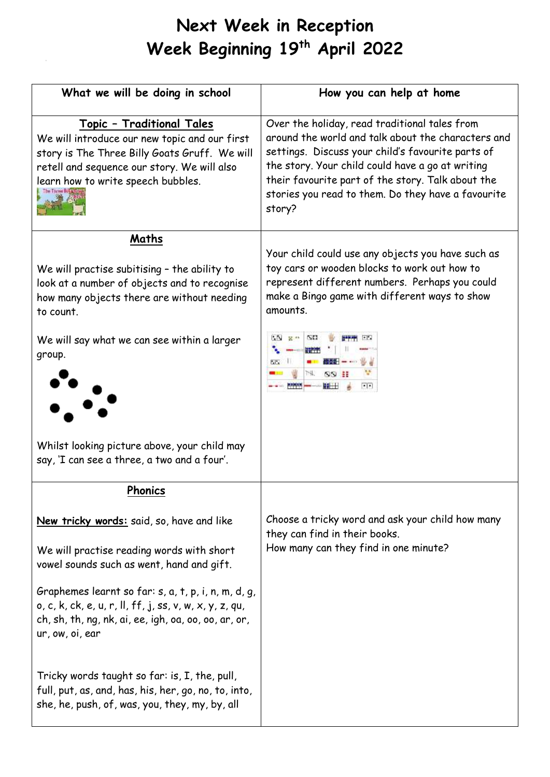## **Next Week in Reception Week Beginning 19 th April 2022**

| What we will be doing in school                                                                                                                                                                                  | How you can help at home                                                                                                                                                                                                                                                                                                          |
|------------------------------------------------------------------------------------------------------------------------------------------------------------------------------------------------------------------|-----------------------------------------------------------------------------------------------------------------------------------------------------------------------------------------------------------------------------------------------------------------------------------------------------------------------------------|
| Topic - Traditional Tales<br>We will introduce our new topic and our first<br>story is The Three Billy Goats Gruff. We will<br>retell and sequence our story. We will also<br>learn how to write speech bubbles. | Over the holiday, read traditional tales from<br>around the world and talk about the characters and<br>settings. Discuss your child's favourite parts of<br>the story. Your child could have a go at writing<br>their favourite part of the story. Talk about the<br>stories you read to them. Do they have a favourite<br>story? |
| Maths                                                                                                                                                                                                            |                                                                                                                                                                                                                                                                                                                                   |
| We will practise subitising - the ability to<br>look at a number of objects and to recognise<br>how many objects there are without needing<br>to count.                                                          | Your child could use any objects you have such as<br>toy cars or wooden blocks to work out how to<br>represent different numbers. Perhaps you could<br>make a Bingo game with different ways to show<br>amounts.                                                                                                                  |
| We will say what we can see within a larger<br>group.                                                                                                                                                            | $2^{n+1}$<br>精神<br><b>ALC HE</b><br>OD 88<br>H<br>ПH                                                                                                                                                                                                                                                                              |
| Whilst looking picture above, your child may<br>say, 'I can see a three, a two and a four'.                                                                                                                      |                                                                                                                                                                                                                                                                                                                                   |
| <b>Phonics</b>                                                                                                                                                                                                   |                                                                                                                                                                                                                                                                                                                                   |
| New tricky words: said, so, have and like                                                                                                                                                                        | Choose a tricky word and ask your child how many<br>they can find in their books.                                                                                                                                                                                                                                                 |
| We will practise reading words with short<br>vowel sounds such as went, hand and gift.                                                                                                                           | How many can they find in one minute?                                                                                                                                                                                                                                                                                             |
| Graphemes learnt so far: s, a, t, p, i, n, m, d, g,<br>$o, c, k, ck, e, u, r, ll, ff, j, ss, v, w, x, y, z, qu,$<br>ch, sh, th, ng, nk, ai, ee, igh, oa, oo, oo, ar, or,<br>ur, ow, oi, ear                      |                                                                                                                                                                                                                                                                                                                                   |
| Tricky words taught so far: is, I, the, pull,<br>full, put, as, and, has, his, her, go, no, to, into,<br>she, he, push, of, was, you, they, my, by, all                                                          |                                                                                                                                                                                                                                                                                                                                   |